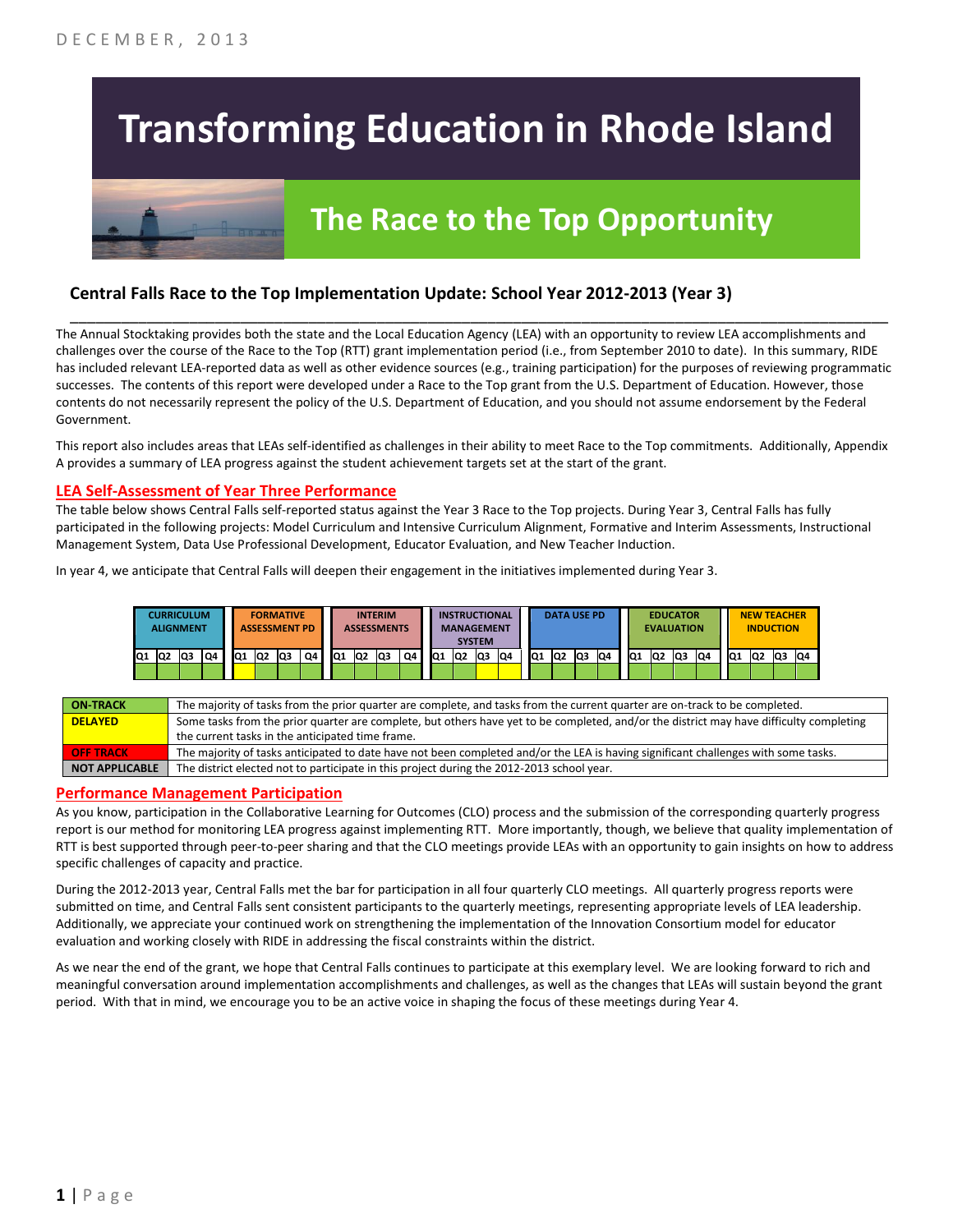# **Transforming Education in Rhode Island**



# **The Race to the Top Opportunity**

### **Central Falls Race to the Top Implementation Update: School Year 2012-2013 (Year 3)**

The Annual Stocktaking provides both the state and the Local Education Agency (LEA) with an opportunity to review LEA accomplishments and challenges over the course of the Race to the Top (RTT) grant implementation period (i.e., from September 2010 to date). In this summary, RIDE has included relevant LEA-reported data as well as other evidence sources (e.g., training participation) for the purposes of reviewing programmatic successes. The contents of this report were developed under a Race to the Top grant from the U.S. Department of Education. However, those contents do not necessarily represent the policy of the U.S. Department of Education, and you should not assume endorsement by the Federal Government.

\_\_\_\_\_\_\_\_\_\_\_\_\_\_\_\_\_\_\_\_\_\_\_\_\_\_\_\_\_\_\_\_\_\_\_\_\_\_\_\_\_\_\_\_\_\_\_\_\_\_\_\_\_\_\_\_\_\_\_\_\_\_\_\_\_\_\_\_\_\_\_\_\_\_\_\_\_\_\_\_\_\_\_\_\_\_\_\_\_\_\_\_\_\_\_\_

This report also includes areas that LEAs self-identified as challenges in their ability to meet Race to the Top commitments. Additionally, Appendix A provides a summary of LEA progress against the student achievement targets set at the start of the grant.

#### **LEA Self-Assessment of Year Three Performance**

The table below shows Central Falls self-reported status against the Year 3 Race to the Top projects. During Year 3, Central Falls has fully participated in the following projects: Model Curriculum and Intensive Curriculum Alignment, Formative and Interim Assessments, Instructional Management System, Data Use Professional Development, Educator Evaluation, and New Teacher Induction.

In year 4, we anticipate that Central Falls will deepen their engagement in the initiatives implemented during Year 3.

|    |    | <b>CURRICULUM</b><br><b>ALIGNMENT</b> |    |     |     | <b>FORMATIVE</b><br><b>ASSESSMENT PD</b> |    |     |                | <b>INTERIM</b><br><b>ASSESSMENTS</b> |    |                 | <b>INSTRUCTIONAL</b><br><b>MANAGEMENT</b> | <b>SYSTEM</b> |    |     | <b>DATA USE PD</b> |     |    |                 | <b>EDUCATOR</b><br><b>EVALUATION</b> |  |     |    |     | <b>NEW TEACHER</b><br><b>INDUCTION</b> |  |  |
|----|----|---------------------------------------|----|-----|-----|------------------------------------------|----|-----|----------------|--------------------------------------|----|-----------------|-------------------------------------------|---------------|----|-----|--------------------|-----|----|-----------------|--------------------------------------|--|-----|----|-----|----------------------------------------|--|--|
| Q1 | Q2 | lQ3                                   | Q4 | IQ1 | IQ2 | Q3                                       | Q4 | IQ1 | Q <sub>2</sub> | Q3                                   | Q4 | IQ <sub>1</sub> | Q <sub>2</sub>                            | lQ3           | Q4 | IQ1 | Q2                 | lQ3 | Q4 | IQ <sub>1</sub> | Q3<br>Q <sub>2</sub><br>IQ4          |  | IQ1 | Q2 | lQ3 | Q4                                     |  |  |
|    |    |                                       |    |     |     |                                          |    |     |                |                                      |    |                 |                                           |               |    |     |                    |     |    |                 |                                      |  |     |    |     |                                        |  |  |

| <b>ON-TRACK</b>       | The majority of tasks from the prior quarter are complete, and tasks from the current quarter are on-track to be completed.             |
|-----------------------|-----------------------------------------------------------------------------------------------------------------------------------------|
| <b>DELAYED</b>        | Some tasks from the prior quarter are complete, but others have yet to be completed, and/or the district may have difficulty completing |
|                       | the current tasks in the anticipated time frame.                                                                                        |
| <b>OFF TRACK</b>      | The majority of tasks anticipated to date have not been completed and/or the LEA is having significant challenges with some tasks.      |
| <b>NOT APPLICABLE</b> | The district elected not to participate in this project during the 2012-2013 school year.                                               |

#### **Performance Management Participation**

As you know, participation in the Collaborative Learning for Outcomes (CLO) process and the submission of the corresponding quarterly progress report is our method for monitoring LEA progress against implementing RTT. More importantly, though, we believe that quality implementation of RTT is best supported through peer-to-peer sharing and that the CLO meetings provide LEAs with an opportunity to gain insights on how to address specific challenges of capacity and practice.

During the 2012-2013 year, Central Falls met the bar for participation in all four quarterly CLO meetings. All quarterly progress reports were submitted on time, and Central Falls sent consistent participants to the quarterly meetings, representing appropriate levels of LEA leadership. Additionally, we appreciate your continued work on strengthening the implementation of the Innovation Consortium model for educator evaluation and working closely with RIDE in addressing the fiscal constraints within the district.

As we near the end of the grant, we hope that Central Falls continues to participate at this exemplary level. We are looking forward to rich and meaningful conversation around implementation accomplishments and challenges, as well as the changes that LEAs will sustain beyond the grant period. With that in mind, we encourage you to be an active voice in shaping the focus of these meetings during Year 4.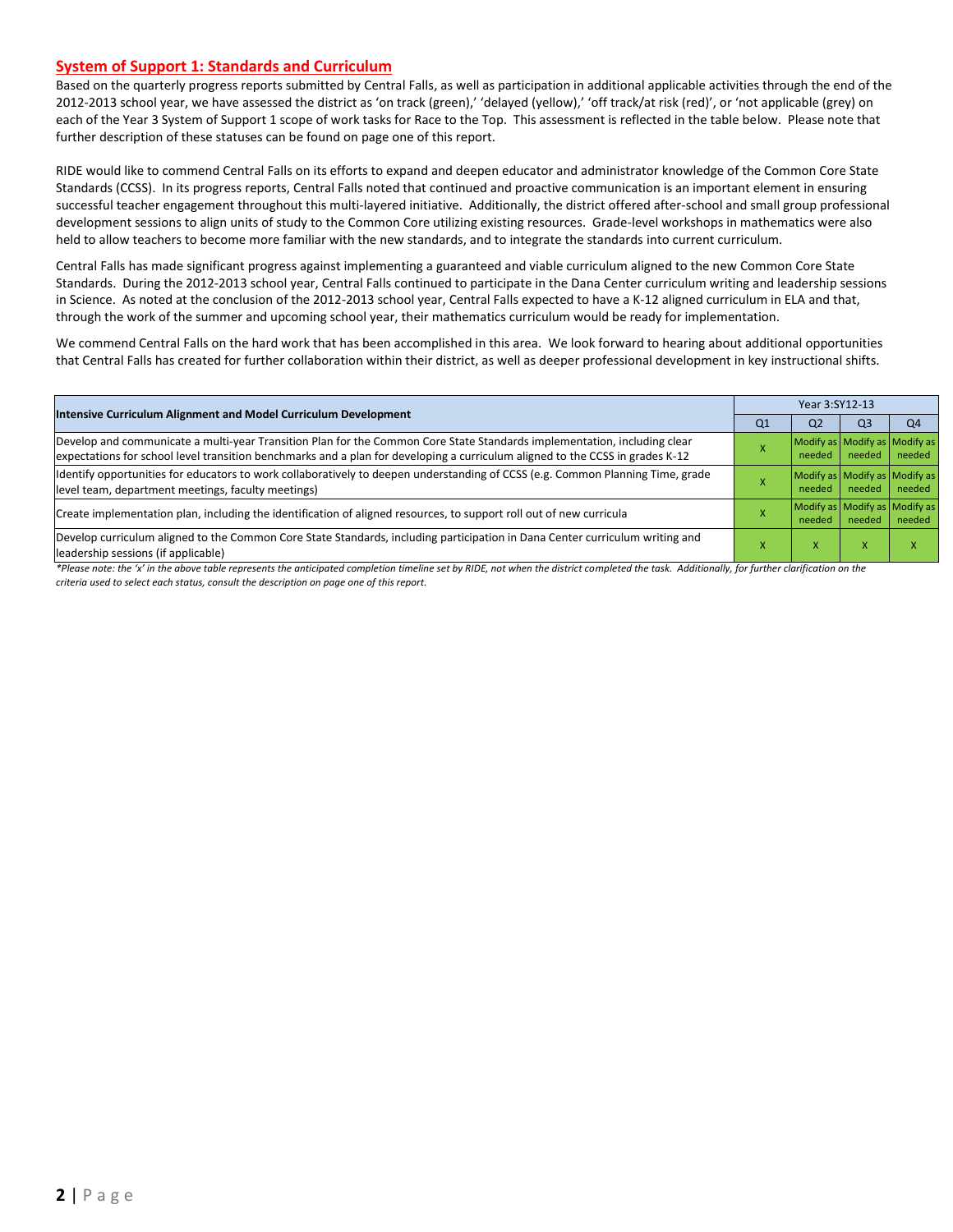#### **System of Support 1: Standards and Curriculum**

Based on the quarterly progress reports submitted by Central Falls, as well as participation in additional applicable activities through the end of the 2012-2013 school year, we have assessed the district as 'on track (green),' 'delayed (yellow),' 'off track/at risk (red)', or 'not applicable (grey) on each of the Year 3 System of Support 1 scope of work tasks for Race to the Top. This assessment is reflected in the table below. Please note that further description of these statuses can be found on page one of this report.

RIDE would like to commend Central Falls on its efforts to expand and deepen educator and administrator knowledge of the Common Core State Standards (CCSS). In its progress reports, Central Falls noted that continued and proactive communication is an important element in ensuring successful teacher engagement throughout this multi-layered initiative. Additionally, the district offered after-school and small group professional development sessions to align units of study to the Common Core utilizing existing resources. Grade-level workshops in mathematics were also held to allow teachers to become more familiar with the new standards, and to integrate the standards into current curriculum.

Central Falls has made significant progress against implementing a guaranteed and viable curriculum aligned to the new Common Core State Standards. During the 2012-2013 school year, Central Falls continued to participate in the Dana Center curriculum writing and leadership sessions in Science. As noted at the conclusion of the 2012-2013 school year, Central Falls expected to have a K-12 aligned curriculum in ELA and that, through the work of the summer and upcoming school year, their mathematics curriculum would be ready for implementation.

We commend Central Falls on the hard work that has been accomplished in this area. We look forward to hearing about additional opportunities that Central Falls has created for further collaboration within their district, as well as deeper professional development in key instructional shifts.

| Intensive Curriculum Alignment and Model Curriculum Development                                                                                                                                                                                           | Year 3:SY12-13 |                                         |                           |                |  |
|-----------------------------------------------------------------------------------------------------------------------------------------------------------------------------------------------------------------------------------------------------------|----------------|-----------------------------------------|---------------------------|----------------|--|
|                                                                                                                                                                                                                                                           | Q <sub>1</sub> | Q <sub>2</sub>                          | Q <sub>3</sub>            | Q <sub>4</sub> |  |
| Develop and communicate a multi-year Transition Plan for the Common Core State Standards implementation, including clear<br>expectations for school level transition benchmarks and a plan for developing a curriculum aligned to the CCSS in grades K-12 |                | Modify as Modify as Modify as<br>needed | needed                    | needed         |  |
| Identify opportunities for educators to work collaboratively to deepen understanding of CCSS (e.g. Common Planning Time, grade<br>level team, department meetings, faculty meetings)                                                                      |                | Modify as Modify as Modify as<br>needed | needed                    | needed         |  |
| Create implementation plan, including the identification of aligned resources, to support roll out of new curricula                                                                                                                                       |                | Modify as Modify as Modify as<br>needed | needed                    | needed         |  |
| Develop curriculum aligned to the Common Core State Standards, including participation in Dana Center curriculum writing and<br>leadership sessions (if applicable)                                                                                       |                | X                                       | $\boldsymbol{\mathsf{x}}$ |                |  |

*\*Please note: the 'x' in the above table represents the anticipated completion timeline set by RIDE, not when the district completed the task. Additionally, for further clarification on the criteria used to select each status, consult the description on page one of this report.*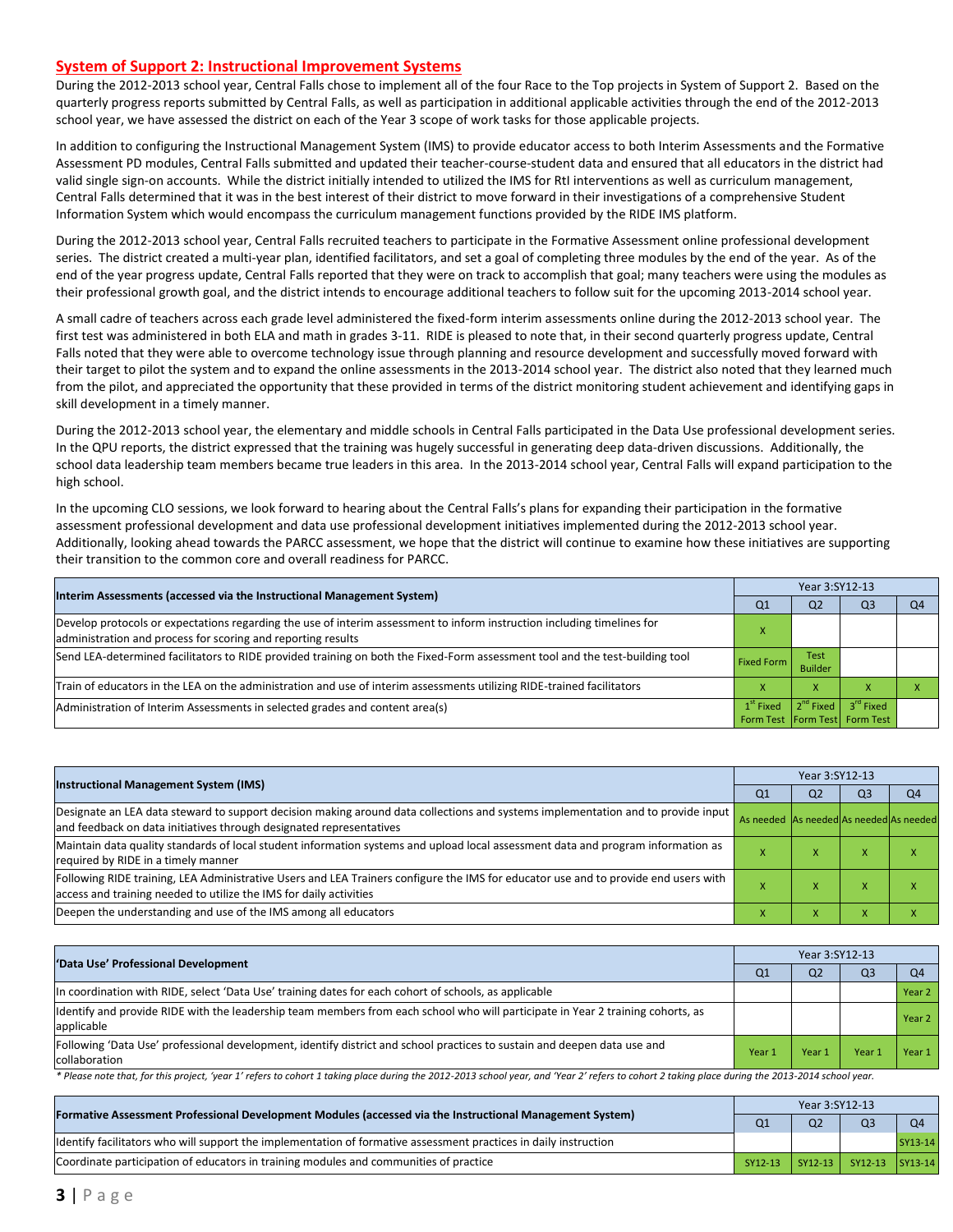#### **System of Support 2: Instructional Improvement Systems**

During the 2012-2013 school year, Central Falls chose to implement all of the four Race to the Top projects in System of Support 2. Based on the quarterly progress reports submitted by Central Falls, as well as participation in additional applicable activities through the end of the 2012-2013 school year, we have assessed the district on each of the Year 3 scope of work tasks for those applicable projects.

In addition to configuring the Instructional Management System (IMS) to provide educator access to both Interim Assessments and the Formative Assessment PD modules, Central Falls submitted and updated their teacher-course-student data and ensured that all educators in the district had valid single sign-on accounts. While the district initially intended to utilized the IMS for RtI interventions as well as curriculum management, Central Falls determined that it was in the best interest of their district to move forward in their investigations of a comprehensive Student Information System which would encompass the curriculum management functions provided by the RIDE IMS platform.

During the 2012-2013 school year, Central Falls recruited teachers to participate in the Formative Assessment online professional development series. The district created a multi-year plan, identified facilitators, and set a goal of completing three modules by the end of the year. As of the end of the year progress update, Central Falls reported that they were on track to accomplish that goal; many teachers were using the modules as their professional growth goal, and the district intends to encourage additional teachers to follow suit for the upcoming 2013-2014 school year.

A small cadre of teachers across each grade level administered the fixed-form interim assessments online during the 2012-2013 school year. The first test was administered in both ELA and math in grades 3-11. RIDE is pleased to note that, in their second quarterly progress update, Central Falls noted that they were able to overcome technology issue through planning and resource development and successfully moved forward with their target to pilot the system and to expand the online assessments in the 2013-2014 school year. The district also noted that they learned much from the pilot, and appreciated the opportunity that these provided in terms of the district monitoring student achievement and identifying gaps in skill development in a timely manner.

During the 2012-2013 school year, the elementary and middle schools in Central Falls participated in the Data Use professional development series. In the QPU reports, the district expressed that the training was hugely successful in generating deep data-driven discussions. Additionally, the school data leadership team members became true leaders in this area. In the 2013-2014 school year, Central Falls will expand participation to the high school.

In the upcoming CLO sessions, we look forward to hearing about the Central Falls's plans for expanding their participation in the formative assessment professional development and data use professional development initiatives implemented during the 2012-2013 school year. Additionally, looking ahead towards the PARCC assessment, we hope that the district will continue to examine how these initiatives are supporting their transition to the common core and overall readiness for PARCC.

| Interim Assessments (accessed via the Instructional Management System)                                                                                                                  |                   | Year 3:SY12-13                                      |                                                            |    |  |  |  |
|-----------------------------------------------------------------------------------------------------------------------------------------------------------------------------------------|-------------------|-----------------------------------------------------|------------------------------------------------------------|----|--|--|--|
|                                                                                                                                                                                         | Q <sub>1</sub>    | Q <sub>2</sub>                                      | Q <sub>3</sub>                                             | Q4 |  |  |  |
| Develop protocols or expectations regarding the use of interim assessment to inform instruction including timelines for<br>administration and process for scoring and reporting results |                   |                                                     |                                                            |    |  |  |  |
| Send LEA-determined facilitators to RIDE provided training on both the Fixed-Form assessment tool and the test-building tool                                                            | <b>Fixed Form</b> | <b>Test</b><br><b>Builder</b>                       |                                                            |    |  |  |  |
| Train of educators in the LEA on the administration and use of interim assessments utilizing RIDE-trained facilitators                                                                  |                   | x                                                   |                                                            |    |  |  |  |
| Administration of Interim Assessments in selected grades and content area(s)                                                                                                            | $1st$ Fixed       | $\blacksquare$ 2 <sup>nd</sup> Fixed $\blacksquare$ | $3^{\text{rd}}$ Fixed<br>Form Test   Form Test   Form Test |    |  |  |  |

|                                                                                                                                                                                                           |                                         | Year 3:SY12-13 |                |                |  |  |
|-----------------------------------------------------------------------------------------------------------------------------------------------------------------------------------------------------------|-----------------------------------------|----------------|----------------|----------------|--|--|
| <b>Instructional Management System (IMS)</b>                                                                                                                                                              | Q1                                      | Q <sub>2</sub> | Q <sub>3</sub> | O <sub>4</sub> |  |  |
| Designate an LEA data steward to support decision making around data collections and systems implementation and to provide input<br>and feedback on data initiatives through designated representatives   | As needed As needed As needed As needed |                |                |                |  |  |
| Maintain data quality standards of local student information systems and upload local assessment data and program information as<br>required by RIDE in a timely manner                                   |                                         | $\lambda$      | $\lambda$      |                |  |  |
| Following RIDE training, LEA Administrative Users and LEA Trainers configure the IMS for educator use and to provide end users with<br>access and training needed to utilize the IMS for daily activities |                                         | ж              |                |                |  |  |
| Deepen the understanding and use of the IMS among all educators                                                                                                                                           |                                         | л              | $\lambda$      |                |  |  |

| 'Data Use' Professional Development                                                                                                           |                | Year 3:SY12-13 |                |                   |  |  |
|-----------------------------------------------------------------------------------------------------------------------------------------------|----------------|----------------|----------------|-------------------|--|--|
|                                                                                                                                               | Q <sub>1</sub> | Q <sub>2</sub> | Q <sub>3</sub> | Q <sub>4</sub>    |  |  |
| In coordination with RIDE, select 'Data Use' training dates for each cohort of schools, as applicable                                         |                |                |                | Year <sub>2</sub> |  |  |
| Identify and provide RIDE with the leadership team members from each school who will participate in Year 2 training cohorts, as<br>applicable |                |                |                | Year <sub>2</sub> |  |  |
| Following 'Data Use' professional development, identify district and school practices to sustain and deepen data use and<br>collaboration     | Year 1         | Year 1         | Year 1         | Year 1            |  |  |

\* Please note that, for this project, 'year 1' refers to cohort 1 taking place during the 2012-2013 school year, and 'Year 2' refers to cohort 2 taking place during the 2013-2014 school year.

| [Formative Assessment Professional Development Modules (accessed via the Instructional Management System)        |                                                                        | Year 3:SY12-13 |  |         |  |  |
|------------------------------------------------------------------------------------------------------------------|------------------------------------------------------------------------|----------------|--|---------|--|--|
|                                                                                                                  | Q <sub>2</sub><br>Q <sub>1</sub><br>SY12-13 SY12-13 SY13-14<br>SY12-13 |                |  |         |  |  |
| ldentify facilitators who will support the implementation of formative assessment practices in daily instruction |                                                                        |                |  | SY13-14 |  |  |
| Coordinate participation of educators in training modules and communities of practice                            |                                                                        |                |  |         |  |  |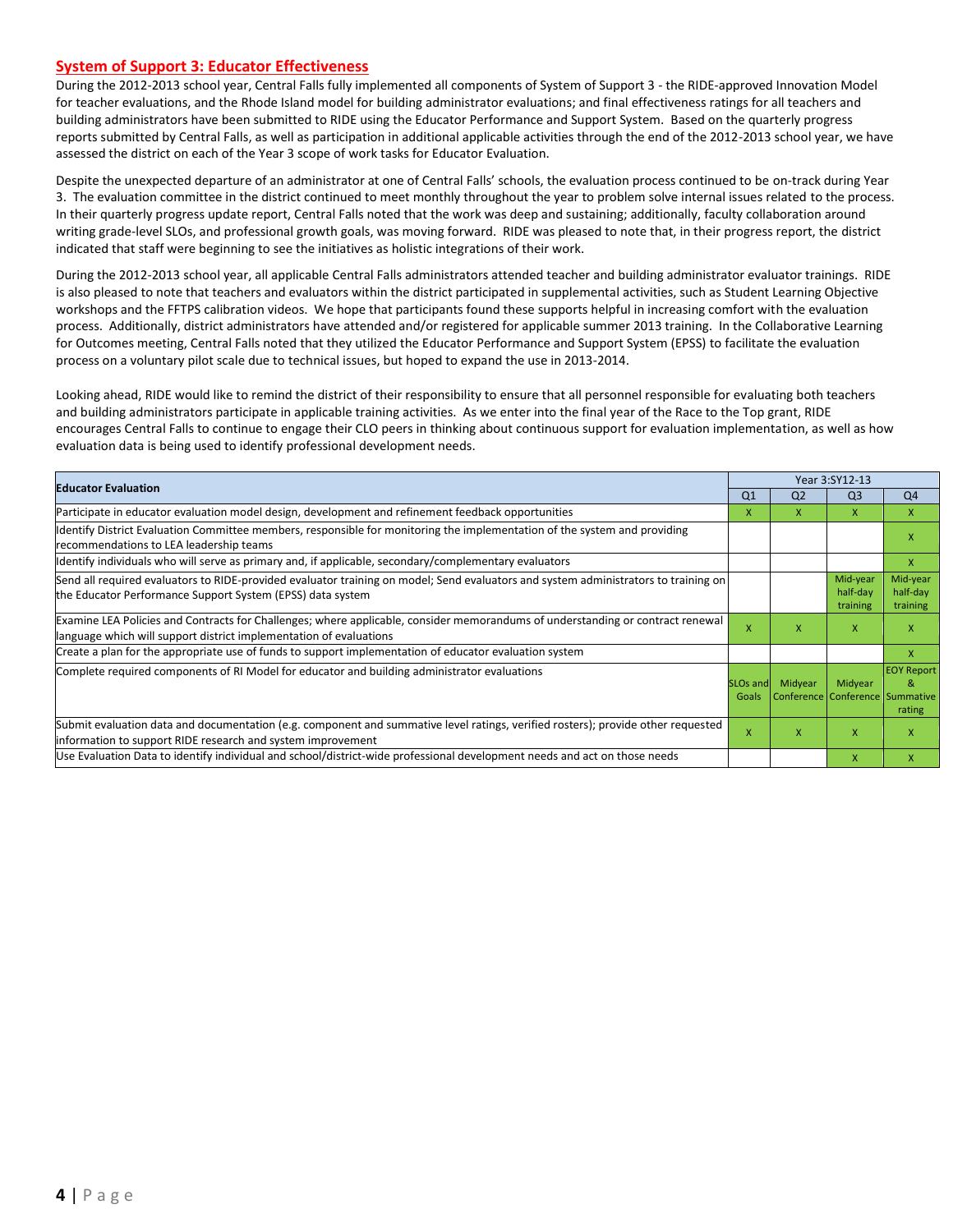#### **System of Support 3: Educator Effectiveness**

During the 2012-2013 school year, Central Falls fully implemented all components of System of Support 3 - the RIDE-approved Innovation Model for teacher evaluations, and the Rhode Island model for building administrator evaluations; and final effectiveness ratings for all teachers and building administrators have been submitted to RIDE using the Educator Performance and Support System. Based on the quarterly progress reports submitted by Central Falls, as well as participation in additional applicable activities through the end of the 2012-2013 school year, we have assessed the district on each of the Year 3 scope of work tasks for Educator Evaluation.

Despite the unexpected departure of an administrator at one of Central Falls' schools, the evaluation process continued to be on-track during Year 3. The evaluation committee in the district continued to meet monthly throughout the year to problem solve internal issues related to the process. In their quarterly progress update report, Central Falls noted that the work was deep and sustaining; additionally, faculty collaboration around writing grade-level SLOs, and professional growth goals, was moving forward. RIDE was pleased to note that, in their progress report, the district indicated that staff were beginning to see the initiatives as holistic integrations of their work.

During the 2012-2013 school year, all applicable Central Falls administrators attended teacher and building administrator evaluator trainings. RIDE is also pleased to note that teachers and evaluators within the district participated in supplemental activities, such as Student Learning Objective workshops and the FFTPS calibration videos. We hope that participants found these supports helpful in increasing comfort with the evaluation process. Additionally, district administrators have attended and/or registered for applicable summer 2013 training. In the Collaborative Learning for Outcomes meeting, Central Falls noted that they utilized the Educator Performance and Support System (EPSS) to facilitate the evaluation process on a voluntary pilot scale due to technical issues, but hoped to expand the use in 2013-2014.

Looking ahead, RIDE would like to remind the district of their responsibility to ensure that all personnel responsible for evaluating both teachers and building administrators participate in applicable training activities. As we enter into the final year of the Race to the Top grant, RIDE encourages Central Falls to continue to engage their CLO peers in thinking about continuous support for evaluation implementation, as well as how evaluation data is being used to identify professional development needs.

| <b>Educator Evaluation</b>                                                                                                                                                                           |                               |                                            | Year 3:SY12-13                   |                                  |
|------------------------------------------------------------------------------------------------------------------------------------------------------------------------------------------------------|-------------------------------|--------------------------------------------|----------------------------------|----------------------------------|
|                                                                                                                                                                                                      | Q <sub>1</sub>                | Q <sub>2</sub>                             | Q <sub>3</sub>                   | Q4                               |
| Participate in educator evaluation model design, development and refinement feedback opportunities                                                                                                   | x                             | x                                          | X                                | X                                |
| Identify District Evaluation Committee members, responsible for monitoring the implementation of the system and providing<br>recommendations to LEA leadership teams                                 |                               |                                            |                                  | X                                |
| ldentify individuals who will serve as primary and, if applicable, secondary/complementary evaluators                                                                                                |                               |                                            |                                  | X                                |
| Send all required evaluators to RIDE-provided evaluator training on model; Send evaluators and system administrators to training on<br>the Educator Performance Support System (EPSS) data system    |                               |                                            | Mid-year<br>half-day<br>training | Mid-year<br>half-day<br>training |
| Examine LEA Policies and Contracts for Challenges; where applicable, consider memorandums of understanding or contract renewal<br>language which will support district implementation of evaluations | $\mathsf{x}$                  | x                                          | X                                | X                                |
| Create a plan for the appropriate use of funds to support implementation of educator evaluation system                                                                                               |                               |                                            |                                  | X                                |
| Complete required components of RI Model for educator and building administrator evaluations                                                                                                         | SLO <sub>s</sub> and<br>Goals | Midyear<br>Conference Conference Summative | Midyear                          | <b>EOY Report</b><br>8<br>rating |
| Submit evaluation data and documentation (e.g. component and summative level ratings, verified rosters); provide other requested<br>information to support RIDE research and system improvement      | X                             | x                                          | X                                | X                                |
| Use Evaluation Data to identify individual and school/district-wide professional development needs and act on those needs                                                                            |                               |                                            | X                                | X                                |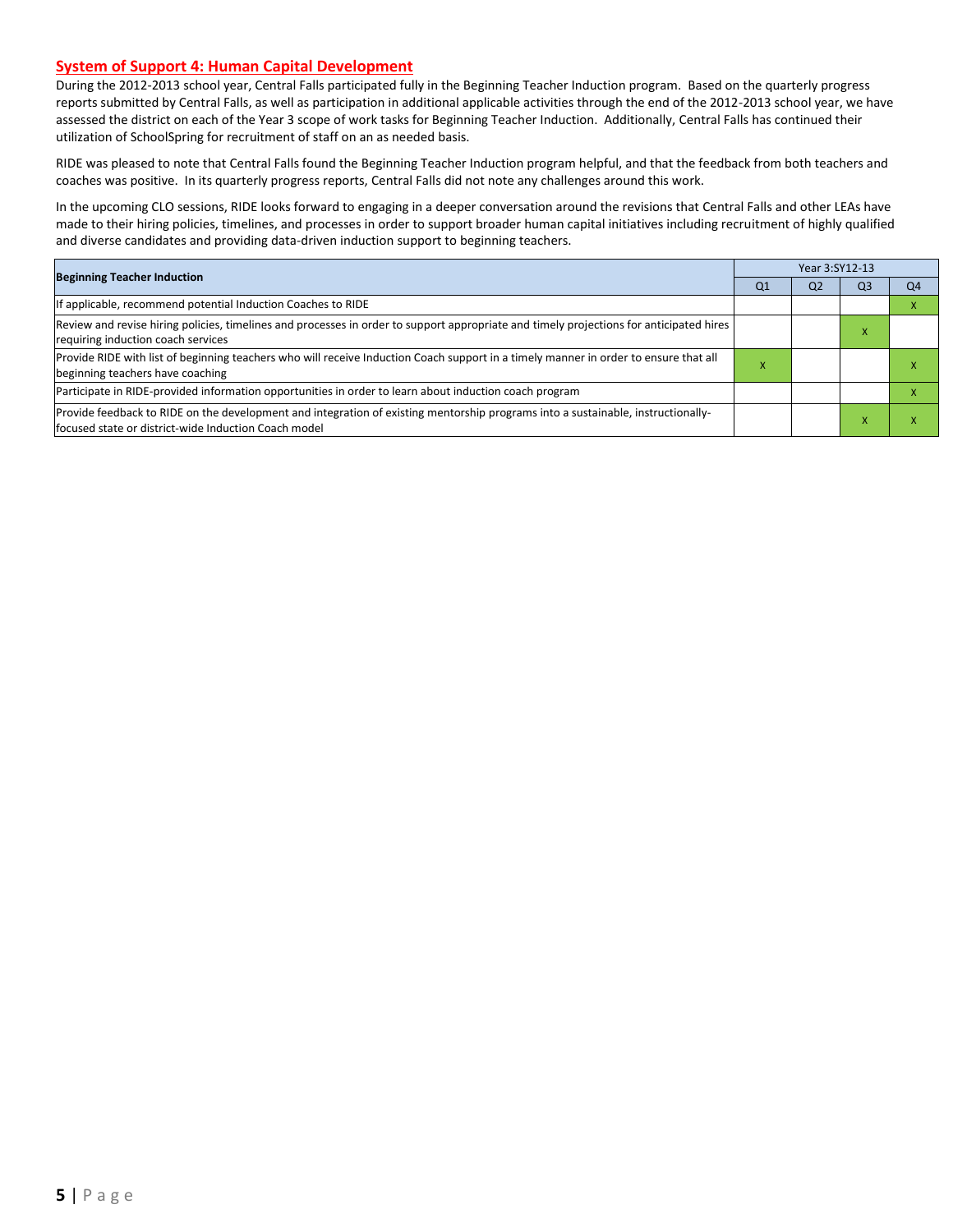#### **System of Support 4: Human Capital Development**

During the 2012-2013 school year, Central Falls participated fully in the Beginning Teacher Induction program. Based on the quarterly progress reports submitted by Central Falls, as well as participation in additional applicable activities through the end of the 2012-2013 school year, we have assessed the district on each of the Year 3 scope of work tasks for Beginning Teacher Induction. Additionally, Central Falls has continued their utilization of SchoolSpring for recruitment of staff on an as needed basis.

RIDE was pleased to note that Central Falls found the Beginning Teacher Induction program helpful, and that the feedback from both teachers and coaches was positive. In its quarterly progress reports, Central Falls did not note any challenges around this work.

In the upcoming CLO sessions, RIDE looks forward to engaging in a deeper conversation around the revisions that Central Falls and other LEAs have made to their hiring policies, timelines, and processes in order to support broader human capital initiatives including recruitment of highly qualified and diverse candidates and providing data-driven induction support to beginning teachers.

| <b>Beginning Teacher Induction</b>                                                                                                                                                        |    |                |           |    |
|-------------------------------------------------------------------------------------------------------------------------------------------------------------------------------------------|----|----------------|-----------|----|
|                                                                                                                                                                                           | Q1 | Q <sub>2</sub> | Q3        | Q4 |
| If applicable, recommend potential Induction Coaches to RIDE                                                                                                                              |    |                |           |    |
| Review and revise hiring policies, timelines and processes in order to support appropriate and timely projections for anticipated hires<br>requiring induction coach services             |    |                | $\lambda$ |    |
| Provide RIDE with list of beginning teachers who will receive Induction Coach support in a timely manner in order to ensure that all<br>beginning teachers have coaching                  |    |                |           |    |
| Participate in RIDE-provided information opportunities in order to learn about induction coach program                                                                                    |    |                |           |    |
| Provide feedback to RIDE on the development and integration of existing mentorship programs into a sustainable, instructionally-<br>lfocused state or district-wide Induction Coach model |    |                |           |    |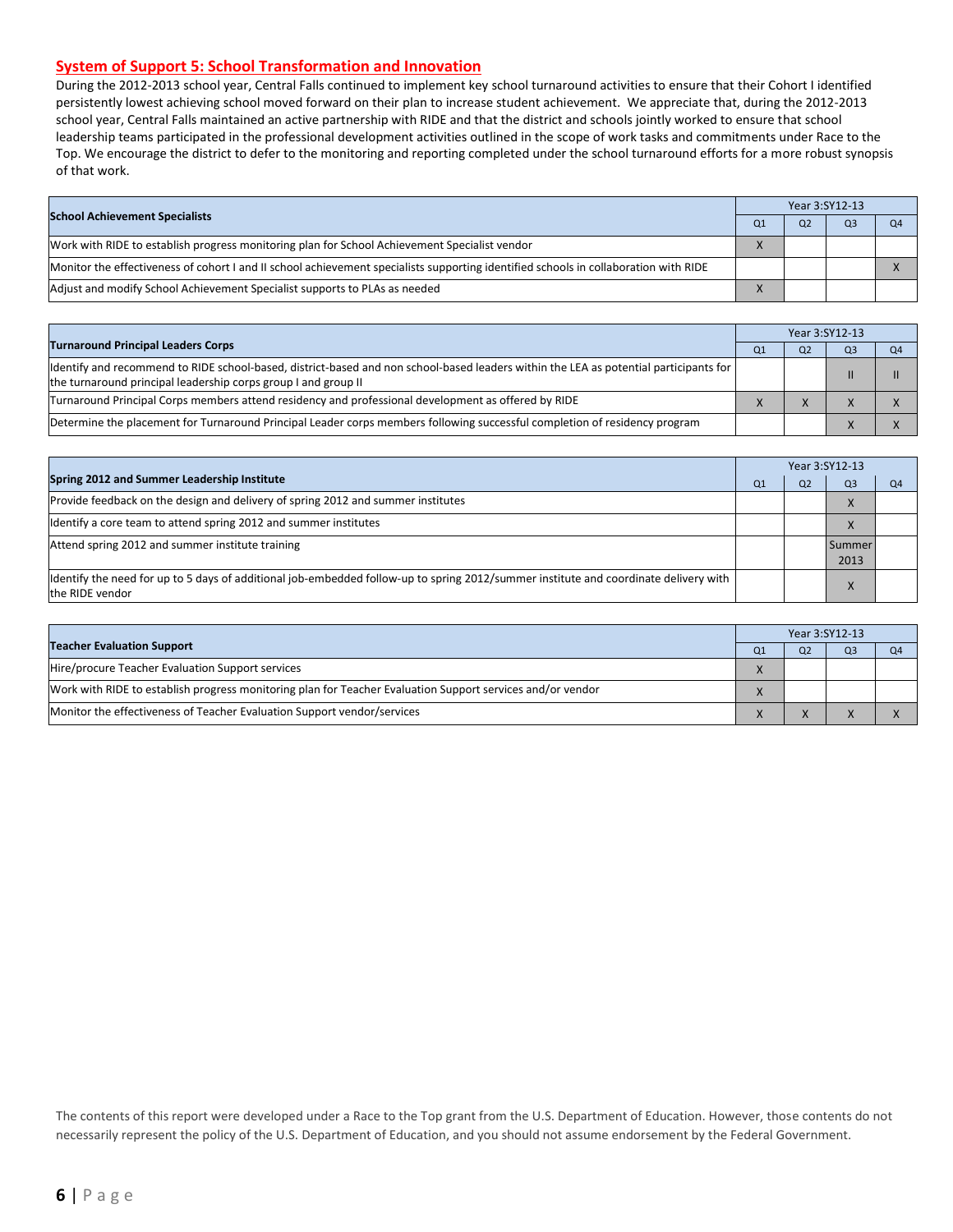#### **System of Support 5: School Transformation and Innovation**

During the 2012-2013 school year, Central Falls continued to implement key school turnaround activities to ensure that their Cohort I identified persistently lowest achieving school moved forward on their plan to increase student achievement. We appreciate that, during the 2012-2013 school year, Central Falls maintained an active partnership with RIDE and that the district and schools jointly worked to ensure that school leadership teams participated in the professional development activities outlined in the scope of work tasks and commitments under Race to the Top. We encourage the district to defer to the monitoring and reporting completed under the school turnaround efforts for a more robust synopsis of that work.

| <b>School Achievement Specialists</b>                                                                                                |  | Year 3:SY12-13 |                |    |
|--------------------------------------------------------------------------------------------------------------------------------------|--|----------------|----------------|----|
|                                                                                                                                      |  | O <sub>2</sub> | Q <sub>3</sub> | Q4 |
| Work with RIDE to establish progress monitoring plan for School Achievement Specialist vendor                                        |  |                |                |    |
| Monitor the effectiveness of cohort I and II school achievement specialists supporting identified schools in collaboration with RIDE |  |                |                |    |
| Adjust and modify School Achievement Specialist supports to PLAs as needed                                                           |  |                |                |    |

|                                                                                                                                                                                                         |                | Year 3:SY12-13 |                |    |
|---------------------------------------------------------------------------------------------------------------------------------------------------------------------------------------------------------|----------------|----------------|----------------|----|
| <b>Turnaround Principal Leaders Corps</b>                                                                                                                                                               | O <sub>1</sub> |                | Q <sub>3</sub> | Q4 |
| ldentify and recommend to RIDE school-based, district-based and non school-based leaders within the LEA as potential participants for<br>the turnaround principal leadership corps group I and group II |                |                |                |    |
| Turnaround Principal Corps members attend residency and professional development as offered by RIDE                                                                                                     |                |                |                |    |
| Determine the placement for Turnaround Principal Leader corps members following successful completion of residency program                                                                              |                |                |                |    |

|                                                                                                                                                         | Year 3:SY12-13 |                |                |                |  |
|---------------------------------------------------------------------------------------------------------------------------------------------------------|----------------|----------------|----------------|----------------|--|
| Spring 2012 and Summer Leadership Institute                                                                                                             | O <sub>1</sub> | O <sub>2</sub> | Q <sub>3</sub> | Q <sub>4</sub> |  |
| Provide feedback on the design and delivery of spring 2012 and summer institutes                                                                        |                |                | x              |                |  |
| Identify a core team to attend spring 2012 and summer institutes                                                                                        |                |                | X              |                |  |
| Attend spring 2012 and summer institute training                                                                                                        |                |                | Summer<br>2013 |                |  |
| ldentify the need for up to 5 days of additional job-embedded follow-up to spring 2012/summer institute and coordinate delivery with<br>the RIDE vendor |                |                |                |                |  |

|                                                                                                            | Year 3:SY12-13 |    |                |  |  |
|------------------------------------------------------------------------------------------------------------|----------------|----|----------------|--|--|
| <b>Teacher Evaluation Support</b>                                                                          | $_{\rm O1}$    | Ο2 | O <sub>3</sub> |  |  |
| Hire/procure Teacher Evaluation Support services                                                           |                |    |                |  |  |
| Work with RIDE to establish progress monitoring plan for Teacher Evaluation Support services and/or vendor |                |    |                |  |  |
| Monitor the effectiveness of Teacher Evaluation Support vendor/services                                    |                |    |                |  |  |

The contents of this report were developed under a Race to the Top grant from the U.S. Department of Education. However, those contents do not necessarily represent the policy of the U.S. Department of Education, and you should not assume endorsement by the Federal Government.